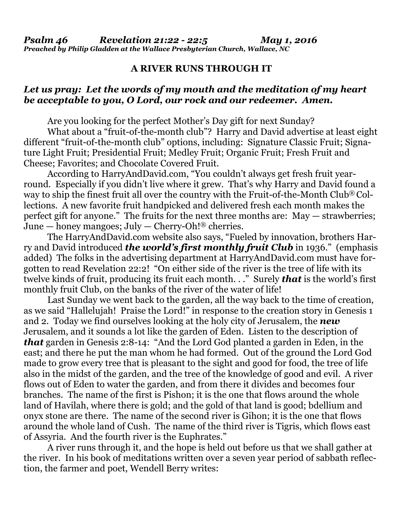## **A RIVER RUNS THROUGH IT**

## *Let us pray: Let the words of my mouth and the meditation of my heart be acceptable to you, O Lord, our rock and our redeemer. Amen.*

Are you looking for the perfect Mother's Day gift for next Sunday?

 What about a "fruit-of-the-month club"? Harry and David advertise at least eight different "fruit-of-the-month club" options, including: Signature Classic Fruit; Signature Light Fruit; Presidential Fruit; Medley Fruit; Organic Fruit; Fresh Fruit and Cheese; Favorites; and Chocolate Covered Fruit.

 According to [HarryAndDavid.com](http://HarryAndDavid.com), "You couldn't always get fresh fruit yearround. Especially if you didn't live where it grew. That's why Harry and David found a way to ship the finest fruit all over the country with the Fruit-of-the-Month Club® Collections. A new favorite fruit handpicked and delivered fresh each month makes the perfect gift for anyone." The fruits for the next three months are: May — strawberries; June — honey mangoes; July — Cherry-Oh!<sup>®</sup> cherries.

 The [HarryAndDavid.com](http://HarryAndDavid.com) website also says, "Fueled by innovation, brothers Harry and David introduced *the world's first monthly fruit Club* in 1936." (emphasis added) The folks in the advertising department at [HarryAndDavid.com](http://HarryAndDavid.com) must have forgotten to read Revelation 22:2! "On either side of the river is the tree of life with its twelve kinds of fruit, producing its fruit each month. . ." Surely *that* is the world's first monthly fruit Club, on the banks of the river of the water of life!

 Last Sunday we went back to the garden, all the way back to the time of creation, as we said "Hallelujah! Praise the Lord!" in response to the creation story in Genesis 1 and 2. Today we find ourselves looking at the holy city of Jerusalem, the *new*  Jerusalem, and it sounds a lot like the garden of Eden. Listen to the description of *that* garden in Genesis 2:8-14: "And the Lord God planted a garden in Eden, in the east; and there he put the man whom he had formed. Out of the ground the Lord God made to grow every tree that is pleasant to the sight and good for food, the tree of life also in the midst of the garden, and the tree of the knowledge of good and evil. A river flows out of Eden to water the garden, and from there it divides and becomes four branches. The name of the first is Pishon; it is the one that flows around the whole land of Havilah, where there is gold; and the gold of that land is good; bdellium and onyx stone are there. The name of the second river is Gihon; it is the one that flows around the whole land of Cush. The name of the third river is Tigris, which flows east of Assyria. And the fourth river is the Euphrates."

 A river runs through it, and the hope is held out before us that we shall gather at the river. In his book of meditations written over a seven year period of sabbath reflection, the farmer and poet, Wendell Berry writes: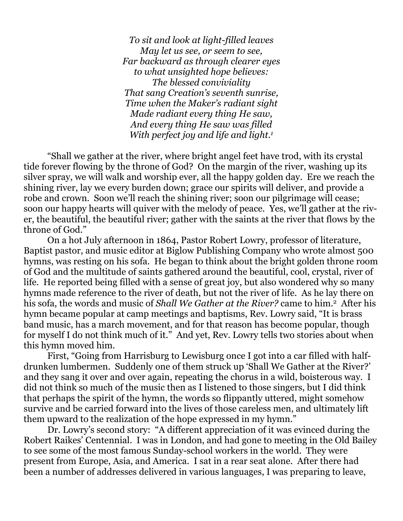*To sit and look at light-filled leaves May let us see, or seem to see, Far backward as through clearer eyes to what unsighted hope believes: The blessed conviviality That sang Creation's seventh sunrise, Time when the Maker's radiant sight Made radiant every thing He saw, And every thing He saw was filled With perfect joy and life and light.1*

 "Shall we gather at the river, where bright angel feet have trod, with its crystal tide forever flowing by the throne of God? On the margin of the river, washing up its silver spray, we will walk and worship ever, all the happy golden day. Ere we reach the shining river, lay we every burden down; grace our spirits will deliver, and provide a robe and crown. Soon we'll reach the shining river; soon our pilgrimage will cease; soon our happy hearts will quiver with the melody of peace. Yes, we'll gather at the river, the beautiful, the beautiful river; gather with the saints at the river that flows by the throne of God."

 On a hot July afternoon in 1864, Pastor Robert Lowry, professor of literature, Baptist pastor, and music editor at Biglow Publishing Company who wrote almost 500 hymns, was resting on his sofa. He began to think about the bright golden throne room of God and the multitude of saints gathered around the beautiful, cool, crystal, river of life. He reported being filled with a sense of great joy, but also wondered why so many hymns made reference to the river of death, but not the river of life. As he lay there on his sofa, the words and music of *Shall We Gather at the River?* came to him.2 After his hymn became popular at camp meetings and baptisms, Rev. Lowry said, "It is brass band music, has a march movement, and for that reason has become popular, though for myself I do not think much of it." And yet, Rev. Lowry tells two stories about when this hymn moved him.

 First, "Going from Harrisburg to Lewisburg once I got into a car filled with halfdrunken lumbermen. Suddenly one of them struck up 'Shall We Gather at the River?' and they sang it over and over again, repeating the chorus in a wild, boisterous way. I did not think so much of the music then as I listened to those singers, but I did think that perhaps the spirit of the hymn, the words so flippantly uttered, might somehow survive and be carried forward into the lives of those careless men, and ultimately lift them upward to the realization of the hope expressed in my hymn."

 Dr. Lowry's second story: "A different appreciation of it was evinced during the Robert Raikes' Centennial. I was in London, and had gone to meeting in the Old Bailey to see some of the most famous Sunday-school workers in the world. They were present from Europe, Asia, and America. I sat in a rear seat alone. After there had been a number of addresses delivered in various languages, I was preparing to leave,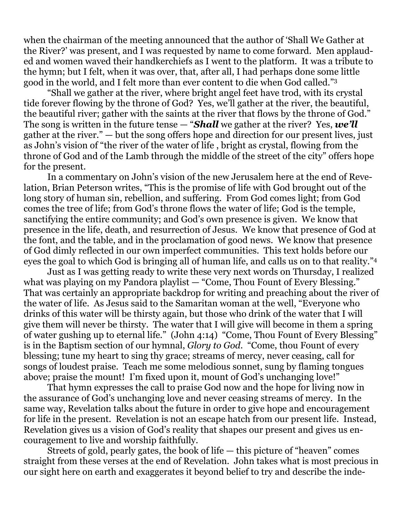when the chairman of the meeting announced that the author of 'Shall We Gather at the River?' was present, and I was requested by name to come forward. Men applauded and women waved their handkerchiefs as I went to the platform. It was a tribute to the hymn; but I felt, when it was over, that, after all, I had perhaps done some little good in the world, and I felt more than ever content to die when God called."3

 "Shall we gather at the river, where bright angel feet have trod, with its crystal tide forever flowing by the throne of God? Yes, we'll gather at the river, the beautiful, the beautiful river; gather with the saints at the river that flows by the throne of God." The song is written in the future tense — "*Shall* we gather at the river? Yes, *we'll* gather at the river." — but the song offers hope and direction for our present lives, just as John's vision of "the river of the water of life , bright as crystal, flowing from the throne of God and of the Lamb through the middle of the street of the city" offers hope for the present.

 In a commentary on John's vision of the new Jerusalem here at the end of Revelation, Brian Peterson writes, "This is the promise of life with God brought out of the long story of human sin, rebellion, and suffering. From God comes light; from God comes the tree of life; from God's throne flows the water of life; God is the temple, sanctifying the entire community; and God's own presence is given. We know that presence in the life, death, and resurrection of Jesus. We know that presence of God at the font, and the table, and in the proclamation of good news. We know that presence of God dimly reflected in our own imperfect communities. This text holds before our eyes the goal to which God is bringing all of human life, and calls us on to that reality."4

 Just as I was getting ready to write these very next words on Thursday, I realized what was playing on my Pandora playlist — "Come, Thou Fount of Every Blessing." That was certainly an appropriate backdrop for writing and preaching about the river of the water of life. As Jesus said to the Samaritan woman at the well, "Everyone who drinks of this water will be thirsty again, but those who drink of the water that I will give them will never be thirsty. The water that I will give will become in them a spring of water gushing up to eternal life." (John 4:14) "Come, Thou Fount of Every Blessing" is in the Baptism section of our hymnal, *Glory to God*. "Come, thou Fount of every blessing; tune my heart to sing thy grace; streams of mercy, never ceasing, call for songs of loudest praise. Teach me some melodious sonnet, sung by flaming tongues above; praise the mount! I'm fixed upon it, mount of God's unchanging love!"

 That hymn expresses the call to praise God now and the hope for living now in the assurance of God's unchanging love and never ceasing streams of mercy. In the same way, Revelation talks about the future in order to give hope and encouragement for life in the present. Revelation is not an escape hatch from our present life. Instead, Revelation gives us a vision of God's reality that shapes our present and gives us encouragement to live and worship faithfully.

 Streets of gold, pearly gates, the book of life — this picture of "heaven" comes straight from these verses at the end of Revelation. John takes what is most precious in our sight here on earth and exaggerates it beyond belief to try and describe the inde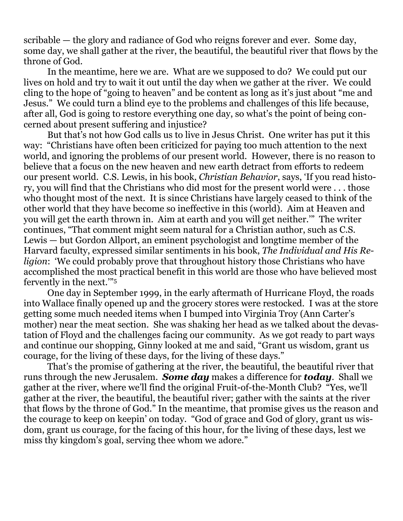scribable — the glory and radiance of God who reigns forever and ever. Some day, some day, we shall gather at the river, the beautiful, the beautiful river that flows by the throne of God.

 In the meantime, here we are. What are we supposed to do? We could put our lives on hold and try to wait it out until the day when we gather at the river. We could cling to the hope of "going to heaven" and be content as long as it's just about "me and Jesus." We could turn a blind eye to the problems and challenges of this life because, after all, God is going to restore everything one day, so what's the point of being concerned about present suffering and injustice?

 But that's not how God calls us to live in Jesus Christ. One writer has put it this way: "Christians have often been criticized for paying too much attention to the next world, and ignoring the problems of our present world. However, there is no reason to believe that a focus on the new heaven and new earth detract from efforts to redeem our present world. C.S. Lewis, in his book, *Christian Behavior*, says, 'If you read history, you will find that the Christians who did most for the present world were . . . those who thought most of the next. It is since Christians have largely ceased to think of the other world that they have become so ineffective in this (world). Aim at Heaven and you will get the earth thrown in. Aim at earth and you will get neither.'" The writer continues, "That comment might seem natural for a Christian author, such as C.S. Lewis — but Gordon Allport, an eminent psychologist and longtime member of the Harvard faculty, expressed similar sentiments in his book, *The Individual and His Religion*: 'We could probably prove that throughout history those Christians who have accomplished the most practical benefit in this world are those who have believed most fervently in the next.'"5

 One day in September 1999, in the early aftermath of Hurricane Floyd, the roads into Wallace finally opened up and the grocery stores were restocked. I was at the store getting some much needed items when I bumped into Virginia Troy (Ann Carter's mother) near the meat section. She was shaking her head as we talked about the devastation of Floyd and the challenges facing our community. As we got ready to part ways and continue our shopping, Ginny looked at me and said, "Grant us wisdom, grant us courage, for the living of these days, for the living of these days."

 That's the promise of gathering at the river, the beautiful, the beautiful river that runs through the new Jerusalem. *Some day* makes a difference for *today*. Shall we gather at the river, where we'll find the original Fruit-of-the-Month Club? "Yes, we'll gather at the river, the beautiful, the beautiful river; gather with the saints at the river that flows by the throne of God." In the meantime, that promise gives us the reason and the courage to keep on keepin' on today. "God of grace and God of glory, grant us wisdom, grant us courage, for the facing of this hour, for the living of these days, lest we miss thy kingdom's goal, serving thee whom we adore."